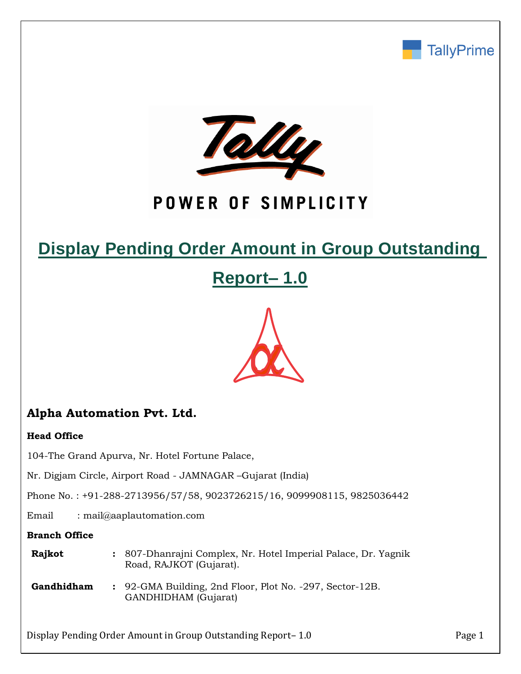



# POWER OF SIMPLICITY

# **Display Pending Order Amount in Group Outstanding**

**Report– 1.0**



# **Alpha Automation Pvt. Ltd.**

### **Head Office**

104-The Grand Apurva, Nr. Hotel Fortune Palace,

Nr. Digjam Circle, Airport Road - JAMNAGAR –Gujarat (India)

Phone No. : +91-288-2713956/57/58, 9023726215/16, 9099908115, 9825036442

Email : mail@aaplautomation.com

### **Branch Office**

| Rajkot | 807-Dhanrajni Complex, Nr. Hotel Imperial Palace, Dr. Yagnik |
|--------|--------------------------------------------------------------|
|        | Road, RAJKOT (Gujarat).                                      |

**Gandhidham :** 92-GMA Building, 2nd Floor, Plot No. -297, Sector-12B. GANDHIDHAM (Gujarat)

Display Pending Order Amount in Group Outstanding Report– 1.0 Page 1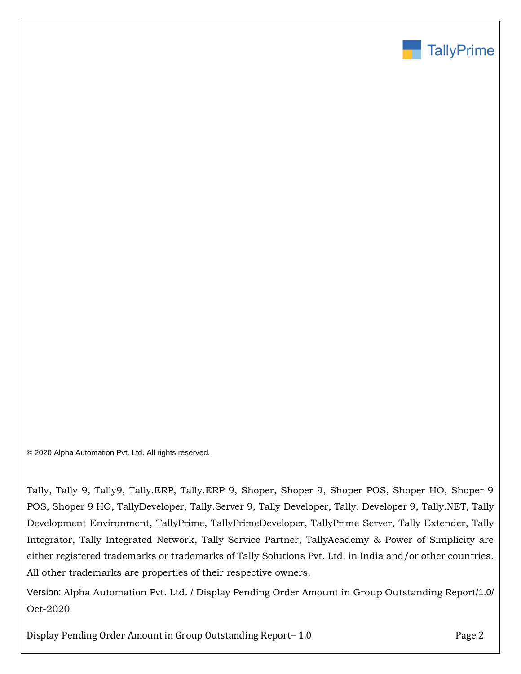

© 2020 Alpha Automation Pvt. Ltd. All rights reserved.

Tally, Tally 9, Tally9, Tally.ERP, Tally.ERP 9, Shoper, Shoper 9, Shoper POS, Shoper HO, Shoper 9 POS, Shoper 9 HO, TallyDeveloper, Tally.Server 9, Tally Developer, Tally. Developer 9, Tally.NET, Tally Development Environment, TallyPrime, TallyPrimeDeveloper, TallyPrime Server, Tally Extender, Tally Integrator, Tally Integrated Network, Tally Service Partner, TallyAcademy & Power of Simplicity are either registered trademarks or trademarks of Tally Solutions Pvt. Ltd. in India and/or other countries. All other trademarks are properties of their respective owners.

Version: Alpha Automation Pvt. Ltd. / Display Pending Order Amount in Group Outstanding Report/1.0/ Oct-2020

Display Pending Order Amount in Group Outstanding Report-1.0 Page 2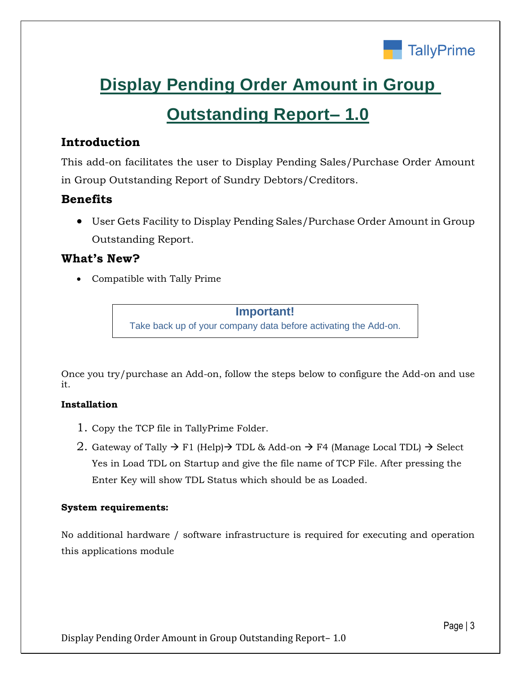

# **Display Pending Order Amount in Group**

# **Outstanding Report– 1.0**

# **Introduction**

This add-on facilitates the user to Display Pending Sales/Purchase Order Amount in Group Outstanding Report of Sundry Debtors/Creditors.

## **Benefits**

• User Gets Facility to Display Pending Sales/Purchase Order Amount in Group Outstanding Report.

## **What's New?**

• Compatible with Tally Prime

## **Important!**

Take back up of your company data before activating the Add-on.

Once you try/purchase an Add-on, follow the steps below to configure the Add-on and use it.

## **Installation**

- 1. Copy the TCP file in TallyPrime Folder.
- 2. Gateway of Tally  $\rightarrow$  F1 (Help) $\rightarrow$  TDL & Add-on  $\rightarrow$  F4 (Manage Local TDL)  $\rightarrow$  Select Yes in Load TDL on Startup and give the file name of TCP File. After pressing the Enter Key will show TDL Status which should be as Loaded.

## **System requirements:**

No additional hardware / software infrastructure is required for executing and operation this applications module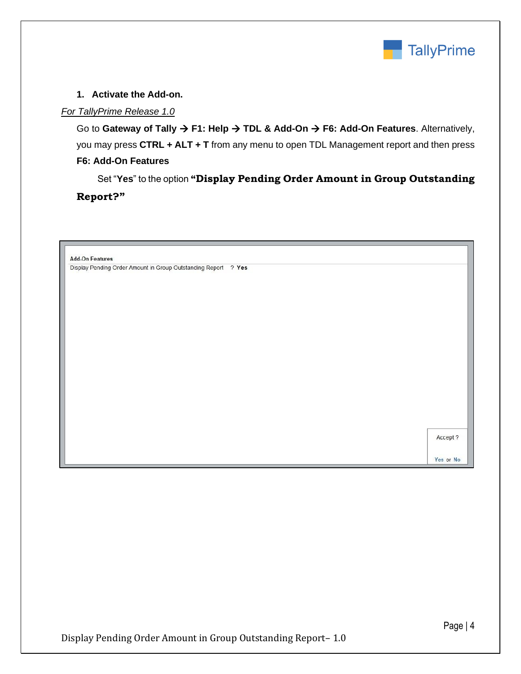

### **1. Activate the Add-on.**

#### *For TallyPrime Release 1.0*

Go to **Gateway of Tally** → **F1: Help** → **TDL & Add-On** → **F6: Add-On Features**. Alternatively, you may press **CTRL + ALT + T** from any menu to open TDL Management report and then press **F6: Add-On Features**

 Set "**Yes**" to the option **"Display Pending Order Amount in Group Outstanding Report?"**

| Accept ? |
|----------|
|          |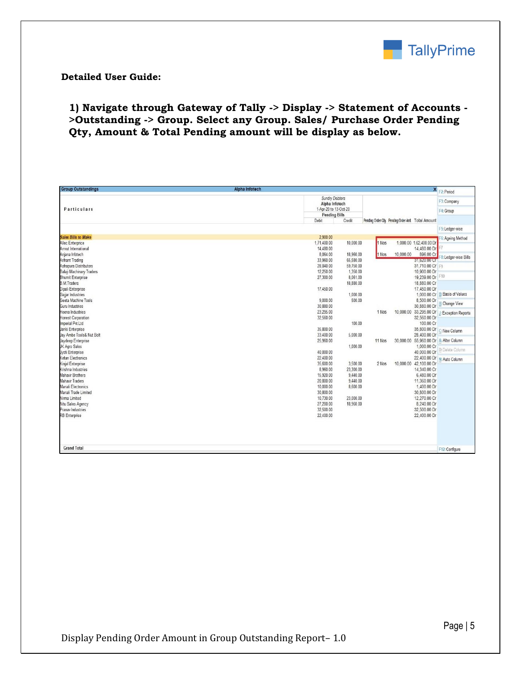

### **Detailed User Guide:**

## **1) Navigate through Gateway of Tally -> Display -> Statement of Accounts - >Outstanding -> Group. Select any Group. Sales/ Purchase Order Pending Qty, Amount & Total Pending amount will be display as below.**

| <b>Group Outstandings</b>              | <b>Alpha Infotech</b>                                                 | X F2: Period                   |
|----------------------------------------|-----------------------------------------------------------------------|--------------------------------|
|                                        | Sundry Debtors<br>Alpha Infotech                                      | F3: Company                    |
| Particulars                            | 1-Apr-20 to 13-Oct-20                                                 | F4: Group                      |
|                                        | <b>Pending Bills</b>                                                  |                                |
|                                        | Credit<br>Debit<br>Pending Order Qty. Pending Order Amt. Total Amount |                                |
|                                        |                                                                       | F5:Ledger-wise                 |
| <b>Sales Bills to Make</b>             | 2.900.00                                                              | 6: Ageing Method               |
| <b>Allec Enterprice</b>                | 1,71,400.00<br>10,000.00<br>1 Nos<br>1,000.00 1,62,400.00 Dr          |                                |
| Amrut International                    | 14.480.00<br>14.480.00 Dr                                             |                                |
| Anjana Infotech                        | 896.00 Cr<br>8,064.00<br>18,960.00<br>10,000.00<br>1 Nos              | 8: Ledger-wise Bills           |
| <b>Arihant Trading</b>                 | 33.960.00<br>65,580.00<br><b>MARINALIS CON</b>                        |                                |
| Ashapura Distributors                  | 28,040.00<br>59,750.00<br>31,710.00 Cr F9                             |                                |
| <b>Balaji Machinary Traders</b>        | 12,250.00<br>1,350.00<br>10,900.00 Dr                                 |                                |
| <b>Bhumit Enterprise</b>               | 19,239.00 Dr F10<br>27,300.00<br>8.061.00                             |                                |
| <b>B.M.Traders</b>                     | 18,880.00<br>18,880.00 Cr                                             |                                |
| Dipali Enterprise                      | 17,450.00 Dr<br>17,450.00                                             |                                |
| Gajjar Industries                      | 1,000.00                                                              | 1,000.00 Cr B: Basis of Values |
| Geeta Machine Tools<br>Guru Industries | 9.000.00<br>500.00<br>8,500.00 Dr<br>30,880.00 Dr                     | <b>H:</b> Change View          |
| Heena Industries                       | 30,880.00<br>23,295.00<br>1 Nos                                       |                                |
| <b>Honest Corporation</b>              | 10,000.00 33,295.00 Dr<br>32,560.00 Dr<br>32,560.00                   | J: Exception Reports           |
| Imperial Pvt.Ltd                       | 100.00<br>100.00 Cr                                                   |                                |
| Janki Enterprise                       | 35,800.00<br>35,800.00 Dr                                             |                                |
| Jay Ambe Tools& Nut Bolt               | 28,400.00 Dr<br>33,400.00<br>5,000.00                                 | C: New Column                  |
| Jaydeep Enterprise                     | 25,960.00<br>30,000.00 55,960.00 Dr A: Alter Column<br>11 Nos         |                                |
| JK Agro Sales                          | 1,000.00 Cr<br>1,000.00                                               |                                |
| Jyoti Enterprise                       | 40,000.00 Dr<br>40,000.00                                             | D: Delete Column               |
| Ketan Electronics                      | 22,400.00<br>22,400.00 Dr                                             | N: Auto Column                 |
| Kinjal Enterprise                      | 35,600.00<br>3,500.00<br>10,000.00 42,100.00 Dr<br>2 Nos              |                                |
| Krishna Industries                     | 8,960.00<br>23,300.00<br>14,340.00 Cr                                 |                                |
| <b>Mahavir Brothers</b>                | 15,920.00<br>9,440.00<br>6,480.00 Dr                                  |                                |
| <b>Mahavir Traders</b>                 | 20,800.00<br>9,440.00<br>11,360.00 Dr                                 |                                |
| Manali Electronics                     | 10,000.00<br>8,600.00<br>1,400.00 Dr                                  |                                |
| Manali Trade Limited                   | 30,800.00<br>30,800.00 Dr                                             |                                |
| Nirma Limited                          | 10.730.00<br>23,000.00<br>12,270.00 Cr                                |                                |
| Nitu Sales Agency                      | 27,200.00<br>18,960.00<br>8,240.00 Dr                                 |                                |
| Pranav Industries                      | 32,500.00<br>32,500.00 Dr                                             |                                |
| <b>RB</b> Enterprise                   | 22,400.00<br>22,400.00 Dr                                             |                                |
|                                        |                                                                       |                                |
| <b>Grand Total</b>                     |                                                                       | F12: Configure                 |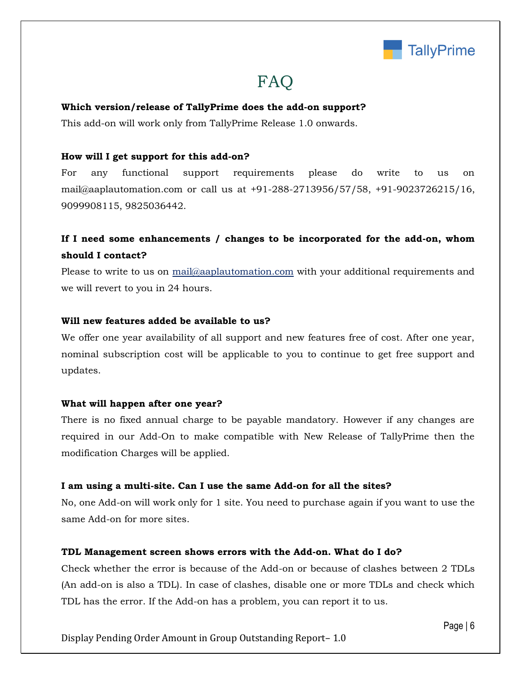

# **FAQ**

#### **Which version/release of TallyPrime does the add-on support?**

This add-on will work only from TallyPrime Release 1.0 onwards.

#### **How will I get support for this add-on?**

For any functional support requirements please do write to us on mail@aaplautomation.com or call us at +91-288-2713956/57/58, +91-9023726215/16, 9099908115, 9825036442.

## **If I need some enhancements / changes to be incorporated for the add-on, whom should I contact?**

Please to write to us on mail@aaplautomation.com with your additional requirements and we will revert to you in 24 hours.

#### **Will new features added be available to us?**

We offer one year availability of all support and new features free of cost. After one year, nominal subscription cost will be applicable to you to continue to get free support and updates.

#### **What will happen after one year?**

There is no fixed annual charge to be payable mandatory. However if any changes are required in our Add-On to make compatible with New Release of TallyPrime then the modification Charges will be applied.

#### **I am using a multi-site. Can I use the same Add-on for all the sites?**

No, one Add-on will work only for 1 site. You need to purchase again if you want to use the same Add-on for more sites.

#### **TDL Management screen shows errors with the Add-on. What do I do?**

Check whether the error is because of the Add-on or because of clashes between 2 TDLs (An add-on is also a TDL). In case of clashes, disable one or more TDLs and check which TDL has the error. If the Add-on has a problem, you can report it to us.